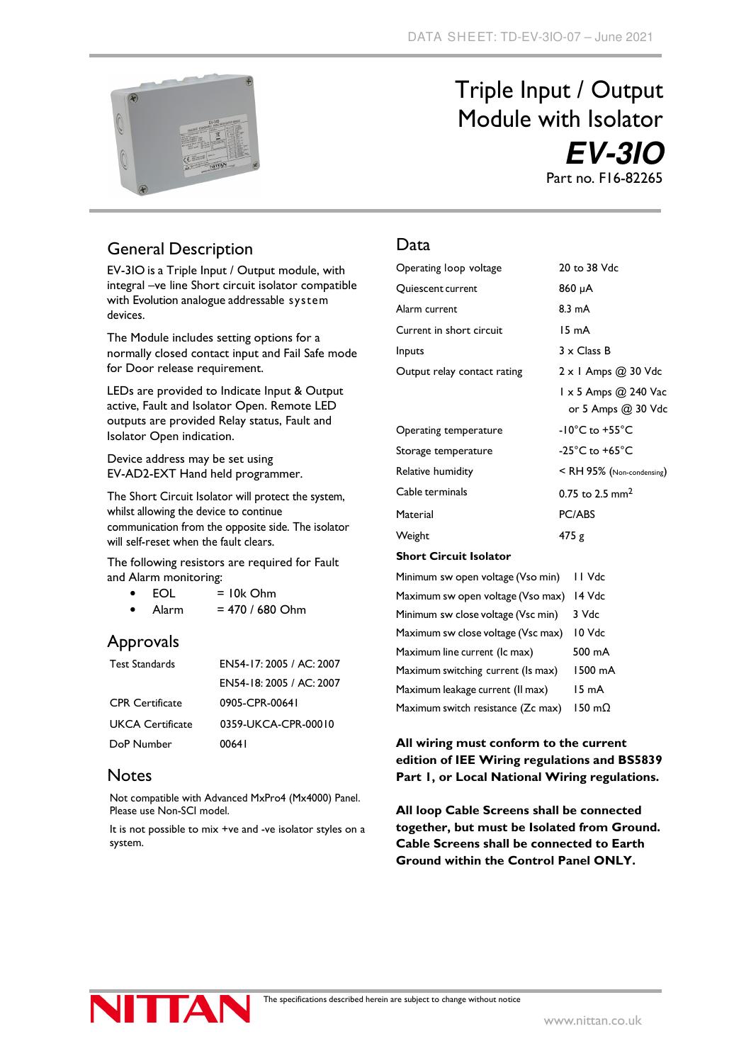

# Triple Input / Output Module with Isolator **EV-3IO** Part no. F16-82265

## General Description

EV-3IO is a Triple Input / Output module, with integral –ve line Short circuit isolator compatible with Evolution analogue addressable system devices.

The Module includes setting options for a normally closed contact input and Fail Safe mode for Door release requirement.

LEDs are provided to Indicate Input & Output active, Fault and Isolator Open. Remote LED outputs are provided Relay status, Fault and Isolator Open indication.

Device address may be set using EV-AD2-EXT Hand held programmer.

The Short Circuit Isolator will protect the system, whilst allowing the device to continue communication from the opposite side. The isolator will self-reset when the fault clears.

The following resistors are required for Fault and Alarm monitoring:

- $\bullet$  EOL = 10k Ohm
- Alarm  $= 470 / 680$  Ohm

### Approvals

| <b>Test Standards</b>   | EN54-17: 2005 / AC: 2007 |
|-------------------------|--------------------------|
|                         | EN54-18: 2005 / AC: 2007 |
| <b>CPR</b> Certificate  | 0905-CPR-00641           |
| <b>UKCA Certificate</b> | 0359-UKCA-CPR-00010      |
| DoP Number              | 00641                    |

### **Notes**

Not compatible with Advanced MxPro4 (Mx4000) Panel. Please use Non-SCI model.

It is not possible to mix +ve and -ve isolator styles on a system.

#### Data

| Operating loop voltage                       | 20 to 38 Vdc                               |  |
|----------------------------------------------|--------------------------------------------|--|
| Quiescent current                            | 860 µA                                     |  |
| Alarm current                                | $8.3 \text{ mA}$                           |  |
| Current in short circuit                     | 15 mA                                      |  |
| Inputs                                       | $3 \times$ Class B                         |  |
| Output relay contact rating                  | $2 \times 1$ Amps $@$ 30 Vdc               |  |
|                                              | 1 x 5 Amps @ 240 Vac<br>or 5 Amps @ 30 Vdc |  |
| Operating temperature                        | $-10^{\circ}$ C to $+55^{\circ}$ C         |  |
| Storage temperature                          | -25 $^{\circ}$ C to +65 $^{\circ}$ C       |  |
| Relative humidity                            | $<$ RH 95% (Non-condensing)                |  |
| Cable terminals                              | 0.75 to 2.5 mm <sup>2</sup>                |  |
| Material                                     | PC/ABS                                     |  |
| Weight                                       | 475 g                                      |  |
| <b>Short Circuit Isolator</b>                |                                            |  |
| Minimum sw open voltage (Vso min)            | II Vdc                                     |  |
| Maximum sw open voltage (Vso max) 14 Vdc     |                                            |  |
| Minimum sw close voltage (Vsc min)<br>3 Vdc  |                                            |  |
| Maximum sw close voltage (Vsc max)<br>LO Vdc |                                            |  |

Maximum sw close voltage (Vsc max) 10 Vdc Maximum line current (Ic max) 500 mA Maximum switching current (Is max) 1500 mA Maximum leakage current (Il max) 15 mA Maximum switch resistance (Zc max) 150 mΩ

#### **All wiring must conform to the current edition of IEE Wiring regulations and BS5839 Part 1, or Local National Wiring regulations.**

**All loop Cable Screens shall be connected together, but must be Isolated from Ground. Cable Screens shall be connected to Earth Ground within the Control Panel ONLY.**